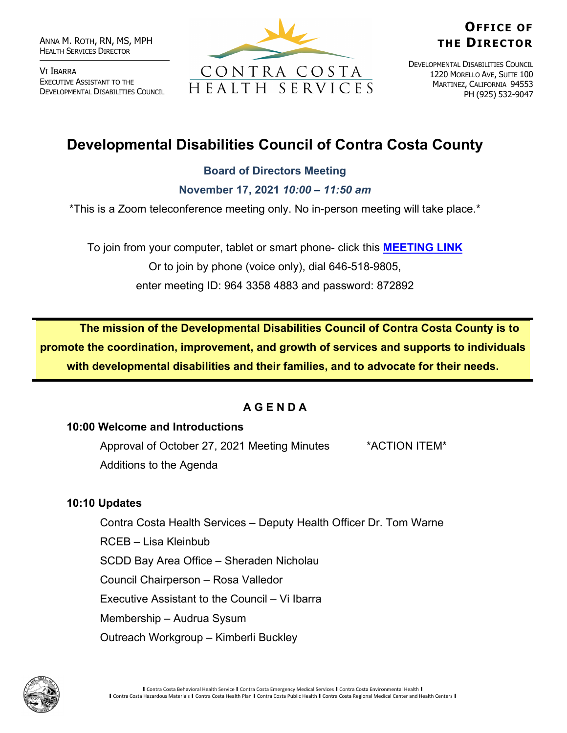ANNA M. ROTH, RN, MS, MPH HEALTH SERVICES DIRECTOR

VI IBARRA EXECUTIVE ASSISTANT TO THE DEVELOPMENTAL DISABILITIES COUNCIL



# **OFFICE OF THE DIRECTOR**

DEVELOPMENTAL DISABILITIES COUNCIL 1220 MORELLO AVE, SUITE 100 MARTINEZ, CALIFORNIA 94553 PH (925) 532-9047

# **Developmental Disabilities Council of Contra Costa County**

## **Board of Directors Meeting**

**November 17, 2021** *10:00 – 11:50 am*

\*This is a Zoom teleconference meeting only. No in-person meeting will take place.\*

To join from your computer, tablet or smart phone- click this **[MEETING LINK](https://cchealth.zoom.us/j/96433584883?pwd=bEtCdk9wM0NyZHFVaVl0N3U3Rm1mQT09)** Or to join by phone (voice only), dial 646-518-9805, enter meeting ID: 964 3358 4883 and password: 872892

**The mission of the Developmental Disabilities Council of Contra Costa County is to promote the coordination, improvement, and growth of services and supports to individuals with developmental disabilities and their families, and to advocate for their needs.** 

## **A G E N D A**

#### **10:00 Welcome and Introductions**

Approval of October 27, 2021 Meeting Minutes \*ACTION ITEM\* Additions to the Agenda

## **10:10 Updates**

Contra Costa Health Services – Deputy Health Officer Dr. Tom Warne RCEB – Lisa Kleinbub SCDD Bay Area Office – Sheraden Nicholau Council Chairperson – Rosa Valledor Executive Assistant to the Council – Vi Ibarra Membership – Audrua Sysum Outreach Workgroup – Kimberli Buckley